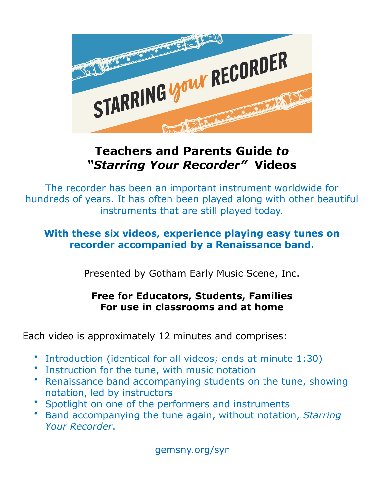

# **Teachers and Parents Guide** *to "Starring Your Recorder"* **Videos**

The recorder has been an important instrument worldwide for hundreds of years. It has often been played along with other beautiful instruments that are still played today.

## **With these six videos, experience playing easy tunes on recorder accompanied by a Renaissance band.**

Presented by Gotham Early Music Scene, Inc.

# **Free for Educators, Students, Families For use in classrooms and at home**

Each video is approximately 12 minutes and comprises:

- Introduction (identical for all videos; ends at minute 1:30)
- Instruction for the tune, with music notation
- Renaissance band accompanying students on the tune, showing notation, led by instructors
- Spotlight on one of the performers and instruments
- Band accompanying the tune again, without notation, *Starring Your Recorder*.

[gemsny.org/syr](http://gemsny.org/syr)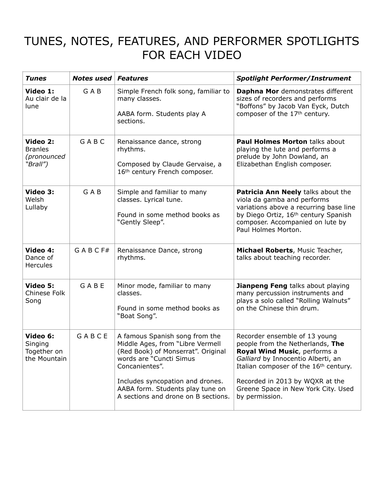# TUNES, NOTES, FEATURES, AND PERFORMER SPOTLIGHTS FOR EACH VIDEO

| <b>Tunes</b>                                          | <b>Notes used Features</b> |                                                                                                                                                                                                                                                                      | <b>Spotlight Performer/Instrument</b>                                                                                                                                                                                                                                        |
|-------------------------------------------------------|----------------------------|----------------------------------------------------------------------------------------------------------------------------------------------------------------------------------------------------------------------------------------------------------------------|------------------------------------------------------------------------------------------------------------------------------------------------------------------------------------------------------------------------------------------------------------------------------|
| Video 1:<br>Au clair de la<br>lune                    | GAB                        | Simple French folk song, familiar to<br>many classes.<br>AABA form. Students play A<br>sections.                                                                                                                                                                     | Daphna Mor demonstrates different<br>sizes of recorders and performs<br>"Boffons" by Jacob Van Eyck, Dutch<br>composer of the 17th century.                                                                                                                                  |
| Video 2:<br><b>Branles</b><br>(pronounced<br>"Brall") | GABC                       | Renaissance dance, strong<br>rhythms.<br>Composed by Claude Gervaise, a<br>16 <sup>th</sup> century French composer.                                                                                                                                                 | <b>Paul Holmes Morton talks about</b><br>playing the lute and performs a<br>prelude by John Dowland, an<br>Elizabethan English composer.                                                                                                                                     |
| Video 3:<br>Welsh<br>Lullaby                          | GAB                        | Simple and familiar to many<br>classes. Lyrical tune.<br>Found in some method books as<br>"Gently Sleep".                                                                                                                                                            | Patricia Ann Neely talks about the<br>viola da gamba and performs<br>variations above a recurring base line<br>by Diego Ortiz, 16th century Spanish<br>composer. Accompanied on lute by<br>Paul Holmes Morton.                                                               |
| Video 4:<br>Dance of<br><b>Hercules</b>               | GABCF#                     | Renaissance Dance, strong<br>rhythms.                                                                                                                                                                                                                                | Michael Roberts, Music Teacher,<br>talks about teaching recorder.                                                                                                                                                                                                            |
| Video 5:<br>Chinese Folk<br>Song                      | GABE                       | Minor mode, familiar to many<br>classes.<br>Found in some method books as<br>"Boat Song".                                                                                                                                                                            | <b>Jianpeng Feng</b> talks about playing<br>many percussion instruments and<br>plays a solo called "Rolling Walnuts"<br>on the Chinese thin drum.                                                                                                                            |
| Video 6:<br>Singing<br>Together on<br>the Mountain    | GABCE                      | A famous Spanish song from the<br>Middle Ages, from "Libre Vermell<br>(Red Book) of Monserrat". Original<br>words are "Cuncti Simus<br>Concanientes".<br>Includes syncopation and drones.<br>AABA form. Students play tune on<br>A sections and drone on B sections. | Recorder ensemble of 13 young<br>people from the Netherlands, The<br>Royal Wind Music, performs a<br>Galliard by Innocentio Alberti, an<br>Italian composer of the 16th century.<br>Recorded in 2013 by WQXR at the<br>Greene Space in New York City. Used<br>by permission. |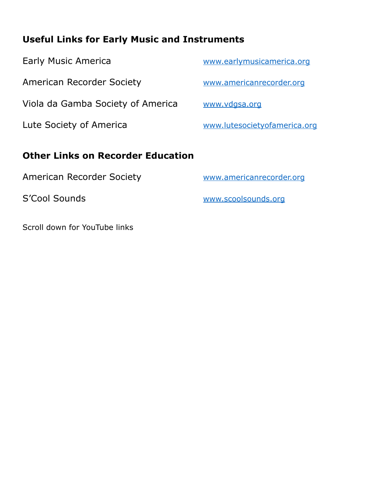# **Useful Links for Early Music and Instruments**

| <b>Early Music America</b>               | www.earlymusicamerica.org    |
|------------------------------------------|------------------------------|
| American Recorder Society                | www.americanrecorder.org     |
| Viola da Gamba Society of America        | www.vdgsa.org                |
| Lute Society of America                  | www.lutesocietyofamerica.org |
| <b>Other Links on Recorder Education</b> |                              |
| <b>American Recorder Society</b>         | www.americanrecorder.org     |
|                                          |                              |

S'Cool Sounds WWW.scoolsounds.org

Scroll down for YouTube links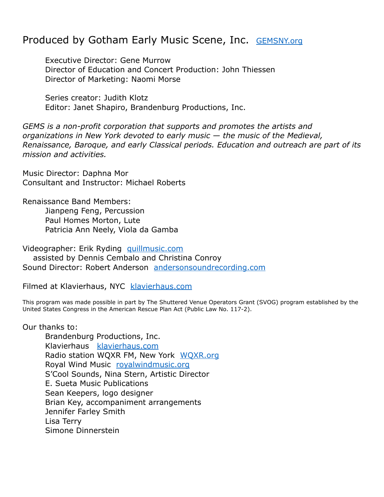## Produced by Gotham Early Music Scene, Inc. [GEMSNY.org](http://www.GEMSNY.org)

Executive Director: Gene Murrow Director of Education and Concert Production: John Thiessen Director of Marketing: Naomi Morse

Series creator: Judith Klotz Editor: Janet Shapiro, Brandenburg Productions, Inc.

*GEMS is a non-profit corporation that supports and promotes the artists and organizations in New York devoted to early music — the music of the Medieval, Renaissance, Baroque, and early Classical periods. Education and outreach are part of its mission and activities.* 

Music Director: Daphna Mor Consultant and Instructor: Michael Roberts

Renaissance Band Members: Jianpeng Feng, Percussion Paul Homes Morton, Lute Patricia Ann Neely, Viola da Gamba

Videographer: Erik Ryding [quillmusic.com](http://quillmusic.com) assisted by Dennis Cembalo and Christina Conroy Sound Director: Robert Anderson [andersonsoundrecording.com](http://andersonsoundrecording.com) 

Filmed at Klavierhaus, NYC [klavierhaus.com](http://klavierhaus.com)

This program was made possible in part by The Shuttered Venue Operators Grant (SVOG) program established by the United States Congress in the American Rescue Plan Act (Public Law No. 117-2).

Our thanks to:

Brandenburg Productions, Inc. Klavierhaus [klavierhaus.com](http://klavierhaus.com) Radio station WQXR FM, New York [WQXR.org](http://WQXR.org) Royal Wind Music [royalwindmusic.org](http://royalwindmusic.org) S'Cool Sounds, Nina Stern, Artistic Director E. Sueta Music Publications Sean Keepers, logo designer Brian Key, accompaniment arrangements Jennifer Farley Smith Lisa Terry Simone Dinnerstein